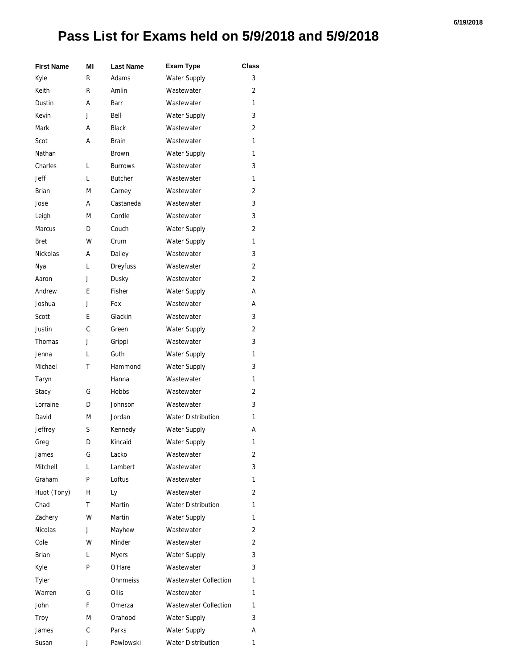## **Pass List for Exams held on 5/9/2018 and 5/9/2018**

| <b>First Name</b> | ΜI | <b>Last Name</b> | <b>Exam Type</b>             | Class          |
|-------------------|----|------------------|------------------------------|----------------|
| Kyle              | R  | Adams            | Water Supply                 | 3              |
| Keith             | R  | Amlin            | Wastewater                   | 2              |
| Dustin            | А  | Barr             | Wastewater                   | 1              |
| Kevin             | J  | Bell             | Water Supply                 | 3              |
| Mark              | А  | <b>Black</b>     | Wastewater                   | 2              |
| Scot              | А  | <b>Brain</b>     | Wastewater                   | 1              |
| Nathan            |    | Brown            | Water Supply                 | 1              |
| Charles           | L  | <b>Burrows</b>   | Wastewater                   | 3              |
| Jeff              | L  | <b>Butcher</b>   | Wastewater                   | 1              |
| <b>Brian</b>      | M  | Carney           | Wastewater                   | 2              |
| Jose              | А  | Castaneda        | Wastewater                   | 3              |
| Leigh             | M  | Cordle           | Wastewater                   | 3              |
| <b>Marcus</b>     | D  | Couch            | <b>Water Supply</b>          | 2              |
| Bret              | W  | Crum             | Water Supply                 | 1              |
| <b>Nickolas</b>   | А  | Dailey           | Wastewater                   | 3              |
| Nya               | L  | Dreyfuss         | Wastewater                   | 2              |
| Aaron             | J  | Dusky            | Wastewater                   | 2              |
| Andrew            | E  | Fisher           | Water Supply                 | А              |
| Joshua            | J  | Fox              | Wastewater                   | А              |
| Scott             | E  | Glackin          | Wastewater                   | 3              |
| Justin            | C  | Green            | <b>Water Supply</b>          | 2              |
| Thomas            | J  | Grippi           | Wastewater                   | 3              |
| Jenna             | L  | Guth             | Water Supply                 | 1              |
| Michael           | т  | Hammond          | Water Supply                 | 3              |
| Taryn             |    | Hanna            | Wastewater                   | 1              |
| Stacy             | G  | <b>Hobbs</b>     | Wastewater                   | 2              |
| Lorraine          | D  | Johnson          | Wastewater                   | 3              |
| David             | M  | Jordan           | <b>Water Distribution</b>    | 1              |
| Jeffrey           | S  | Kennedy          | Water Supply                 | А              |
| Greg              | D  | Kincaid          | Water Supply                 | 1              |
| James             | G  | Lacko            | Wastewater                   | 2              |
| Mitchell          | L  | Lambert          | Wastewater                   | 3              |
| Graham            | P  | Loftus           | Wastewater                   | 1              |
| Huot (Tony)       | H  | Ly               | Wastewater                   | $\overline{2}$ |
| Chad              | Τ  | Martin           | <b>Water Distribution</b>    | 1              |
| Zachery           | W  | Martin           | Water Supply                 | 1              |
| Nicolas           | J  | Mayhew           | Wastewater                   | 2              |
| Cole              | w  | Minder           | Wastewater                   | 2              |
| Brian             | L  | <b>Myers</b>     | <b>Water Supply</b>          | 3              |
| Kyle              | P  | O'Hare           | Wastewater                   | 3              |
| <b>Tyler</b>      |    | <b>Ohnmeiss</b>  | <b>Wastewater Collection</b> | 1              |
| Warren            | G  | <b>Ollis</b>     | Wastewater                   | 1              |
| John              | F. | Omerza           | <b>Wastewater Collection</b> | 1              |
| Troy              | М  | Orahood          | Water Supply                 | 3              |
| James             | С  | Parks            | Water Supply                 | А              |
| Susan             | J  | Pawlowski        | Water Distribution           | 1              |